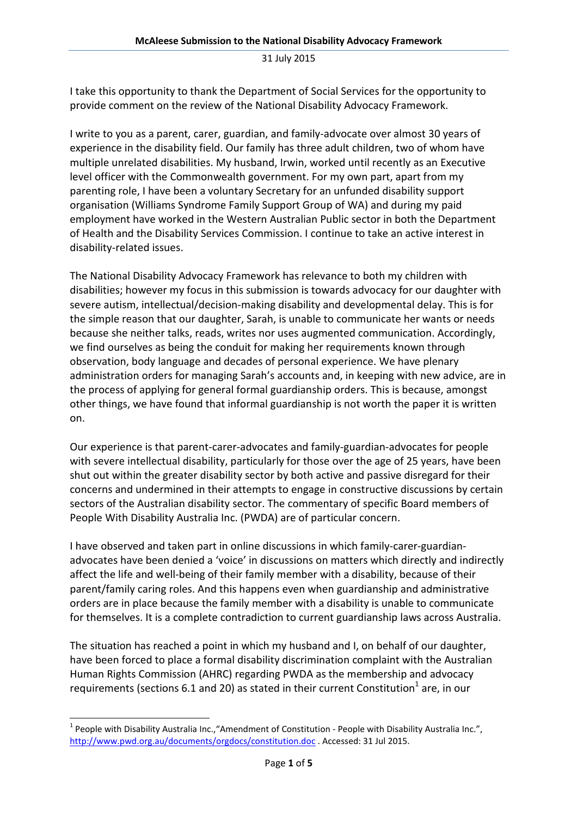I take this opportunity to thank the Department of Social Services for the opportunity to provide comment on the review of the National Disability Advocacy Framework.

I write to you as a parent, carer, guardian, and family-advocate over almost 30 years of experience in the disability field. Our family has three adult children, two of whom have multiple unrelated disabilities. My husband, Irwin, worked until recently as an Executive level officer with the Commonwealth government. For my own part, apart from my parenting role, I have been a voluntary Secretary for an unfunded disability support organisation (Williams Syndrome Family Support Group of WA) and during my paid employment have worked in the Western Australian Public sector in both the Department of Health and the Disability Services Commission. I continue to take an active interest in disability-related issues.

The National Disability Advocacy Framework has relevance to both my children with disabilities; however my focus in this submission is towards advocacy for our daughter with severe autism, intellectual/decision-making disability and developmental delay. This is for the simple reason that our daughter, Sarah, is unable to communicate her wants or needs because she neither talks, reads, writes nor uses augmented communication. Accordingly, we find ourselves as being the conduit for making her requirements known through observation, body language and decades of personal experience. We have plenary administration orders for managing Sarah's accounts and, in keeping with new advice, are in the process of applying for general formal guardianship orders. This is because, amongst other things, we have found that informal guardianship is not worth the paper it is written on.

Our experience is that parent-carer-advocates and family-guardian-advocates for people with severe intellectual disability, particularly for those over the age of 25 years, have been shut out within the greater disability sector by both active and passive disregard for their concerns and undermined in their attempts to engage in constructive discussions by certain sectors of the Australian disability sector. The commentary of specific Board members of People With Disability Australia Inc. (PWDA) are of particular concern.

I have observed and taken part in online discussions in which family-carer-guardianadvocates have been denied a 'voice' in discussions on matters which directly and indirectly affect the life and well-being of their family member with a disability, because of their parent/family caring roles. And this happens even when guardianship and administrative orders are in place because the family member with a disability is unable to communicate for themselves. It is a complete contradiction to current guardianship laws across Australia.

The situation has reached a point in which my husband and I, on behalf of our daughter, have been forced to place a formal disability discrimination complaint with the Australian Human Rights Commission (AHRC) regarding PWDA as the membership and advocacy requirements (sections 6.1 and 20) as stated in their current Constitution $^1$  are, in our

 $\overline{\phantom{0}}$ 

<sup>&</sup>lt;sup>1</sup> People with Disability Australia Inc., "Amendment of Constitution - People with Disability Australia Inc.", http://www.pwd.org.au/documents/orgdocs/constitution.doc . Accessed: 31 Jul 2015.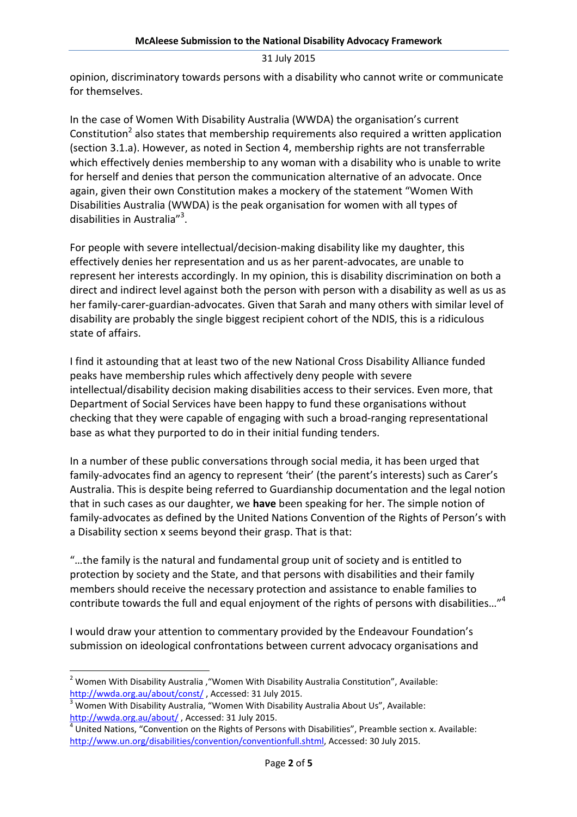opinion, discriminatory towards persons with a disability who cannot write or communicate for themselves.

In the case of Women With Disability Australia (WWDA) the organisation's current Constitution<sup>2</sup> also states that membership requirements also required a written application (section 3.1.a). However, as noted in Section 4, membership rights are not transferrable which effectively denies membership to any woman with a disability who is unable to write for herself and denies that person the communication alternative of an advocate. Once again, given their own Constitution makes a mockery of the statement "Women With Disabilities Australia (WWDA) is the peak organisation for women with all types of disabilities in Australia"<sup>3</sup>.

For people with severe intellectual/decision-making disability like my daughter, this effectively denies her representation and us as her parent-advocates, are unable to represent her interests accordingly. In my opinion, this is disability discrimination on both a direct and indirect level against both the person with person with a disability as well as us as her family-carer-guardian-advocates. Given that Sarah and many others with similar level of disability are probably the single biggest recipient cohort of the NDIS, this is a ridiculous state of affairs.

I find it astounding that at least two of the new National Cross Disability Alliance funded peaks have membership rules which affectively deny people with severe intellectual/disability decision making disabilities access to their services. Even more, that Department of Social Services have been happy to fund these organisations without checking that they were capable of engaging with such a broad-ranging representational base as what they purported to do in their initial funding tenders.

In a number of these public conversations through social media, it has been urged that family-advocates find an agency to represent 'their' (the parent's interests) such as Carer's Australia. This is despite being referred to Guardianship documentation and the legal notion that in such cases as our daughter, we have been speaking for her. The simple notion of family-advocates as defined by the United Nations Convention of the Rights of Person's with a Disability section x seems beyond their grasp. That is that:

"…the family is the natural and fundamental group unit of society and is entitled to protection by society and the State, and that persons with disabilities and their family members should receive the necessary protection and assistance to enable families to contribute towards the full and equal enjoyment of the rights of persons with disabilities..."<sup>4</sup>

I would draw your attention to commentary provided by the Endeavour Foundation's submission on ideological confrontations between current advocacy organisations and

 $\overline{\phantom{0}}$ 

 $^2$  Women With Disability Australia , "Women With Disability Australia Constitution", Available: http://wwda.org.au/about/const/ , Accessed: 31 July 2015.

 $3$  Women With Disability Australia, "Women With Disability Australia About Us", Available: http://wwda.org.au/about/, Accessed: 31 July 2015.

 $<sup>4</sup>$  United Nations, "Convention on the Rights of Persons with Disabilities", Preamble section x. Available:</sup> http://www.un.org/disabilities/convention/conventionfull.shtml, Accessed: 30 July 2015.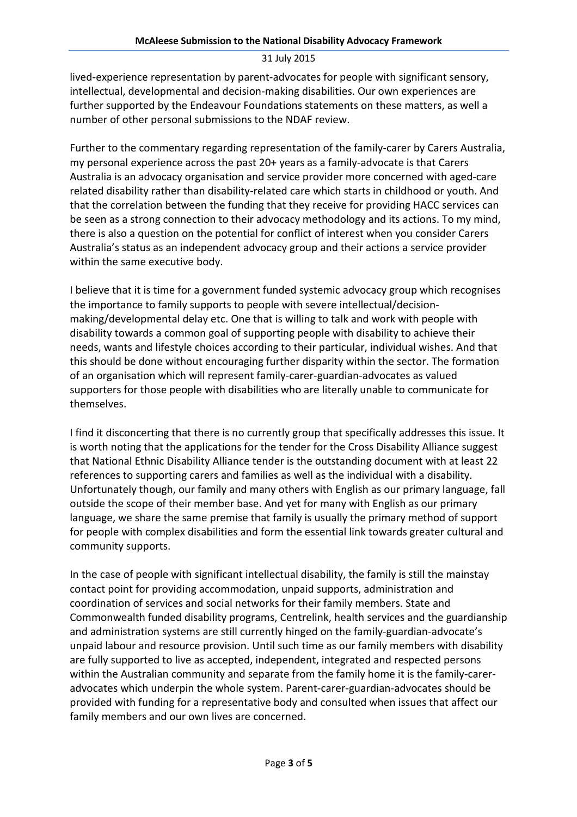lived-experience representation by parent-advocates for people with significant sensory, intellectual, developmental and decision-making disabilities. Our own experiences are further supported by the Endeavour Foundations statements on these matters, as well a number of other personal submissions to the NDAF review.

Further to the commentary regarding representation of the family-carer by Carers Australia, my personal experience across the past 20+ years as a family-advocate is that Carers Australia is an advocacy organisation and service provider more concerned with aged-care related disability rather than disability-related care which starts in childhood or youth. And that the correlation between the funding that they receive for providing HACC services can be seen as a strong connection to their advocacy methodology and its actions. To my mind, there is also a question on the potential for conflict of interest when you consider Carers Australia's status as an independent advocacy group and their actions a service provider within the same executive body.

I believe that it is time for a government funded systemic advocacy group which recognises the importance to family supports to people with severe intellectual/decisionmaking/developmental delay etc. One that is willing to talk and work with people with disability towards a common goal of supporting people with disability to achieve their needs, wants and lifestyle choices according to their particular, individual wishes. And that this should be done without encouraging further disparity within the sector. The formation of an organisation which will represent family-carer-guardian-advocates as valued supporters for those people with disabilities who are literally unable to communicate for themselves.

I find it disconcerting that there is no currently group that specifically addresses this issue. It is worth noting that the applications for the tender for the Cross Disability Alliance suggest that National Ethnic Disability Alliance tender is the outstanding document with at least 22 references to supporting carers and families as well as the individual with a disability. Unfortunately though, our family and many others with English as our primary language, fall outside the scope of their member base. And yet for many with English as our primary language, we share the same premise that family is usually the primary method of support for people with complex disabilities and form the essential link towards greater cultural and community supports.

In the case of people with significant intellectual disability, the family is still the mainstay contact point for providing accommodation, unpaid supports, administration and coordination of services and social networks for their family members. State and Commonwealth funded disability programs, Centrelink, health services and the guardianship and administration systems are still currently hinged on the family-guardian-advocate's unpaid labour and resource provision. Until such time as our family members with disability are fully supported to live as accepted, independent, integrated and respected persons within the Australian community and separate from the family home it is the family-careradvocates which underpin the whole system. Parent-carer-guardian-advocates should be provided with funding for a representative body and consulted when issues that affect our family members and our own lives are concerned.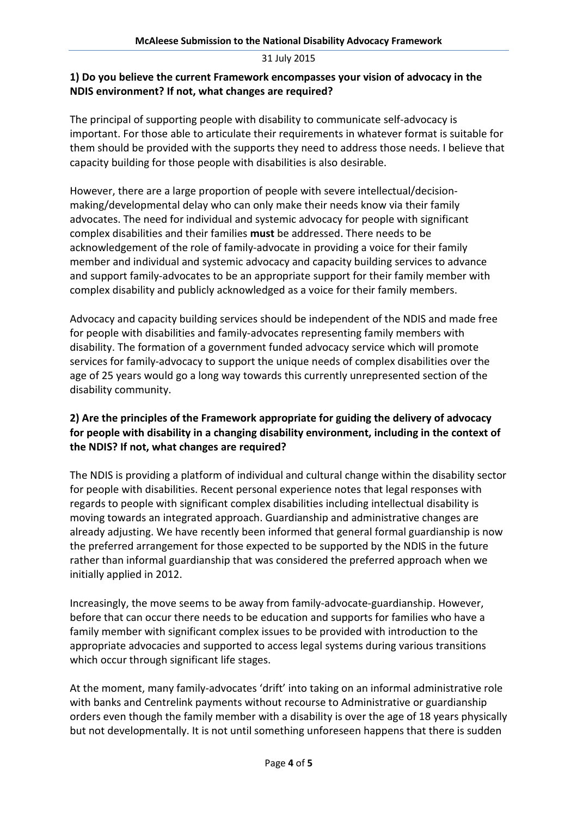## 1) Do you believe the current Framework encompasses your vision of advocacy in the NDIS environment? If not, what changes are required?

The principal of supporting people with disability to communicate self-advocacy is important. For those able to articulate their requirements in whatever format is suitable for them should be provided with the supports they need to address those needs. I believe that capacity building for those people with disabilities is also desirable.

However, there are a large proportion of people with severe intellectual/decisionmaking/developmental delay who can only make their needs know via their family advocates. The need for individual and systemic advocacy for people with significant complex disabilities and their families must be addressed. There needs to be acknowledgement of the role of family-advocate in providing a voice for their family member and individual and systemic advocacy and capacity building services to advance and support family-advocates to be an appropriate support for their family member with complex disability and publicly acknowledged as a voice for their family members.

Advocacy and capacity building services should be independent of the NDIS and made free for people with disabilities and family-advocates representing family members with disability. The formation of a government funded advocacy service which will promote services for family-advocacy to support the unique needs of complex disabilities over the age of 25 years would go a long way towards this currently unrepresented section of the disability community.

## 2) Are the principles of the Framework appropriate for guiding the delivery of advocacy for people with disability in a changing disability environment, including in the context of the NDIS? If not, what changes are required?

The NDIS is providing a platform of individual and cultural change within the disability sector for people with disabilities. Recent personal experience notes that legal responses with regards to people with significant complex disabilities including intellectual disability is moving towards an integrated approach. Guardianship and administrative changes are already adjusting. We have recently been informed that general formal guardianship is now the preferred arrangement for those expected to be supported by the NDIS in the future rather than informal guardianship that was considered the preferred approach when we initially applied in 2012.

Increasingly, the move seems to be away from family-advocate-guardianship. However, before that can occur there needs to be education and supports for families who have a family member with significant complex issues to be provided with introduction to the appropriate advocacies and supported to access legal systems during various transitions which occur through significant life stages.

At the moment, many family-advocates 'drift' into taking on an informal administrative role with banks and Centrelink payments without recourse to Administrative or guardianship orders even though the family member with a disability is over the age of 18 years physically but not developmentally. It is not until something unforeseen happens that there is sudden